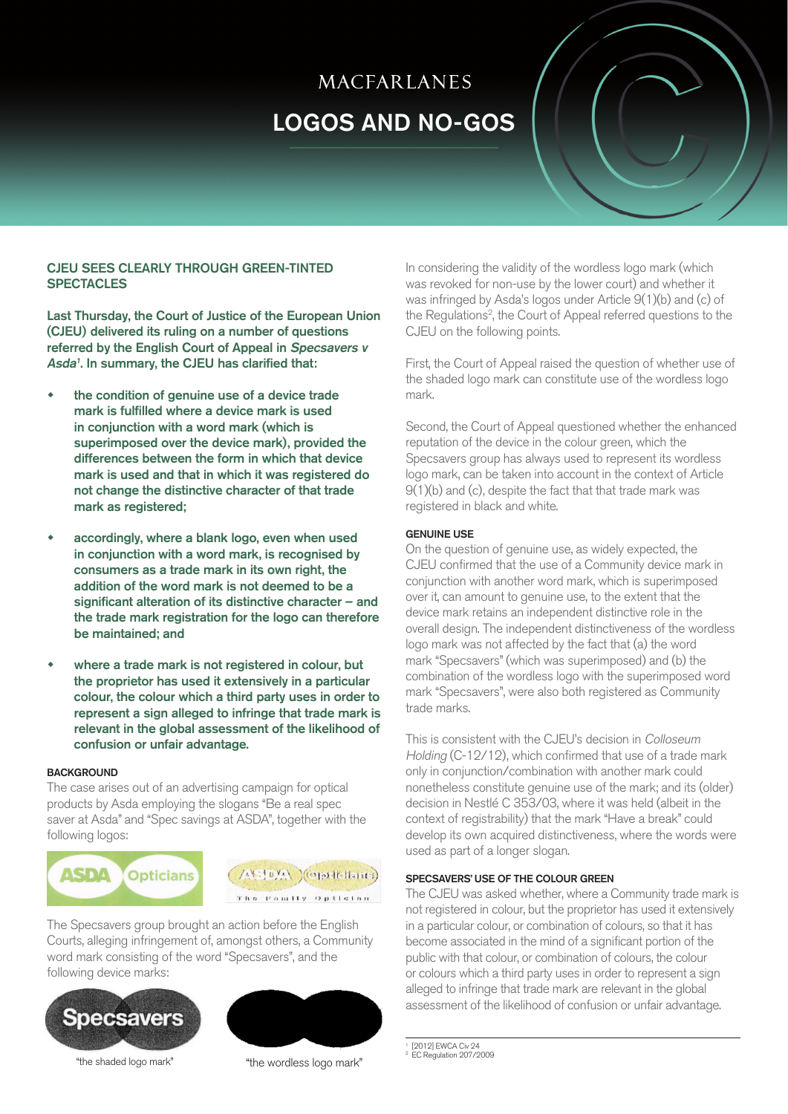# **MACFARLANES** LOGOS AND NO-GOS

## CJEU SEES CLEARLY THROUGH GREEN-TINTED **SPECTACLES**

Last Thursday, the Court of Justice of the European Union (CJEU) delivered its ruling on a number of questions referred by the English Court of Appeal in Specsavers v Asda<sup>1</sup>. In summary, the CJEU has clarified that:

- the condition of genuine use of a device trade mark is fulfilled where a device mark is used in conjunction with a word mark (which is superimposed over the device mark), provided the differences between the form in which that device mark is used and that in which it was registered do not change the distinctive character of that trade mark as registered;
- accordingly, where a blank logo, even when used in conjunction with a word mark, is recognised by consumers as a trade mark in its own right, the addition of the word mark is not deemed to be a significant alteration of its distinctive character – and the trade mark registration for the logo can therefore be maintained; and
- where a trade mark is not registered in colour, but the proprietor has used it extensively in a particular colour, the colour which a third party uses in order to represent a sign alleged to infringe that trade mark is relevant in the global assessment of the likelihood of confusion or unfair advantage.

#### **BACKGROUND**

The case arises out of an advertising campaign for optical products by Asda employing the slogans "Be a real spec saver at Asda" and "Spec savings at ASDA", together with the following logos:





The Specsavers group brought an action before the English Courts, alleging infringement of, amongst others, a Community word mark consisting of the word "Specsavers", and the following device marks:





"the shaded logo mark" "the wordless logo mark"

In considering the validity of the wordless logo mark (which was revoked for non-use by the lower court) and whether it was infringed by Asda's logos under Article 9(1)(b) and (c) of the Regulations<sup>2</sup>, the Court of Appeal referred questions to the CJEU on the following points.

First, the Court of Appeal raised the question of whether use of the shaded logo mark can constitute use of the wordless logo mark.

Second, the Court of Appeal questioned whether the enhanced reputation of the device in the colour green, which the Specsavers group has always used to represent its wordless logo mark, can be taken into account in the context of Article 9(1)(b) and (c), despite the fact that that trade mark was registered in black and white.

## GENUINE USE

On the question of genuine use, as widely expected, the CJEU confirmed that the use of a Community device mark in conjunction with another word mark, which is superimposed over it, can amount to genuine use, to the extent that the device mark retains an independent distinctive role in the overall design. The independent distinctiveness of the wordless logo mark was not affected by the fact that (a) the word mark "Specsavers" (which was superimposed) and (b) the combination of the wordless logo with the superimposed word mark "Specsavers", were also both registered as Community trade marks.

This is consistent with the CJEU's decision in Colloseum Holding (C-12/12), which confirmed that use of a trade mark only in conjunction/combination with another mark could nonetheless constitute genuine use of the mark; and its (older) decision in Nestlé C 353/03, where it was held (albeit in the context of registrability) that the mark "Have a break" could develop its own acquired distinctiveness, where the words were used as part of a longer slogan.

## SPECSAVERS' USE OF THE COLOUR GREEN

The CJEU was asked whether, where a Community trade mark is not registered in colour, but the proprietor has used it extensively in a particular colour, or combination of colours, so that it has become associated in the mind of a significant portion of the public with that colour, or combination of colours, the colour or colours which a third party uses in order to represent a sign alleged to infringe that trade mark are relevant in the global assessment of the likelihood of confusion or unfair advantage.

1 [2012] EWCA Civ 24 2 EC Regulation 207/2009